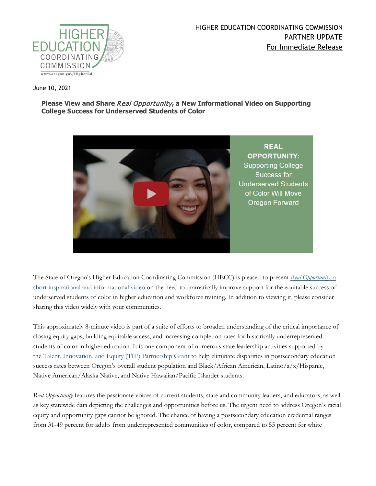

June 10, 2021

## **Please View and Share** Real Opportunity**, a New Informational Video on Supporting College Success for Underserved Students of Color**



The State of Oregon's Higher Education Coordinating Commission (HECC) is pleased to present *[Real Opportunity,](https://youtu.be/AG7P23K-ccc)* a [short inspirational and informational video](https://youtu.be/AG7P23K-ccc) on the need to dramatically improve support for the equitable success of underserved students of color in higher education and workforce training. In addition to viewing it, please consider sharing this video widely with your communities.

This approximately 8-minute video is part of a suite of efforts to broaden understanding of the critical importance of closing equity gaps, building equitable access, and increasing completion rates for historically underrepresented students of color in higher education. It is one component of numerous state leadership activities supported by the [Talent, Innovation, and Equity \(TIE\) Partnership Grant](https://www.oregon.gov/highered/policy-collaboration/Pages/tie-partnership.aspx) to help eliminate disparities in postsecondary education success rates between Oregon's overall student population and Black/African American, Latino/a/x/Hispanic, Native American/Alaska Native, and Native Hawaiian/Pacific Islander students.

*Real Opportunity* features the passionate voices of current students, state and community leaders, and educators, as well as key statewide data depicting the challenges and opportunities before us. The urgent need to address Oregon's racial equity and opportunity gaps cannot be ignored. The chance of having a postsecondary education credential ranges from 31-49 percent for adults from underrepresented communities of color, compared to 55 percent for white